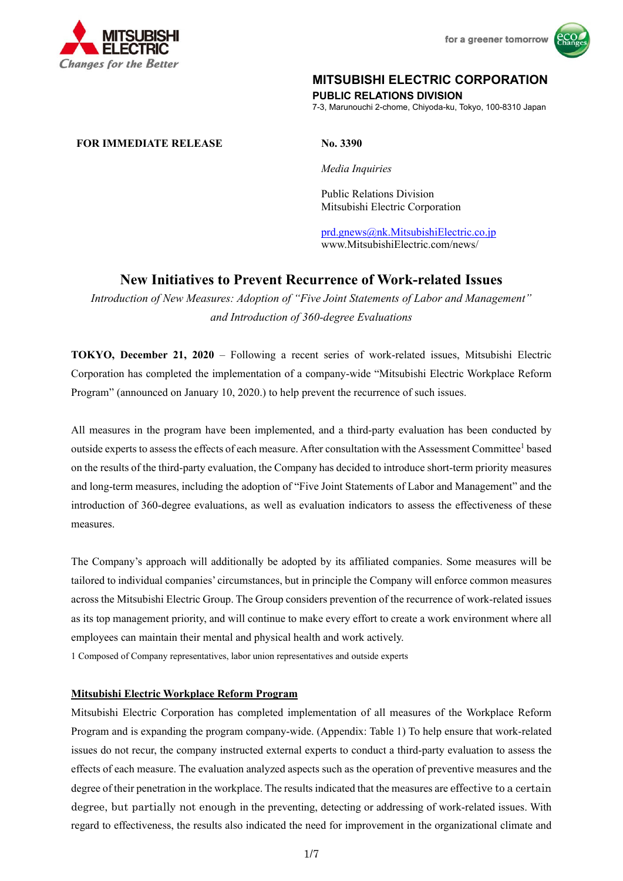



# **MITSUBISHI ELECTRIC CORPORATION**

**PUBLIC RELATIONS DIVISION** 

7-3, Marunouchi 2-chome, Chiyoda-ku, Tokyo, 100-8310 Japan

# **FOR IMMEDIATE RELEASE No. 3390**

*Media Inquiries* 

 Public Relations Division Mitsubishi Electric Corporation

prd.gnews@nk.MitsubishiElectric.co.jp www.MitsubishiElectric.com/news/

# **New Initiatives to Prevent Recurrence of Work-related Issues**

*Introduction of New Measures: Adoption of "Five Joint Statements of Labor and Management" and Introduction of 360-degree Evaluations* 

**TOKYO, December 21, 2020** – Following a recent series of work-related issues, Mitsubishi Electric Corporation has completed the implementation of a company-wide "Mitsubishi Electric Workplace Reform Program" (announced on January 10, 2020.) to help prevent the recurrence of such issues.

All measures in the program have been implemented, and a third-party evaluation has been conducted by outside experts to assess the effects of each measure. After consultation with the Assessment Committee<sup>1</sup> based on the results of the third-party evaluation, the Company has decided to introduce short-term priority measures and long-term measures, including the adoption of "Five Joint Statements of Labor and Management" and the introduction of 360-degree evaluations, as well as evaluation indicators to assess the effectiveness of these measures.

The Company's approach will additionally be adopted by its affiliated companies. Some measures will be tailored to individual companies' circumstances, but in principle the Company will enforce common measures across the Mitsubishi Electric Group. The Group considers prevention of the recurrence of work-related issues as its top management priority, and will continue to make every effort to create a work environment where all employees can maintain their mental and physical health and work actively.

1 Composed of Company representatives, labor union representatives and outside experts

# **Mitsubishi Electric Workplace Reform Program**

Mitsubishi Electric Corporation has completed implementation of all measures of the Workplace Reform Program and is expanding the program company-wide. (Appendix: Table 1) To help ensure that work-related issues do not recur, the company instructed external experts to conduct a third-party evaluation to assess the effects of each measure. The evaluation analyzed aspects such as the operation of preventive measures and the degree of their penetration in the workplace. The results indicated that the measures are effective to a certain degree, but partially not enough in the preventing, detecting or addressing of work-related issues. With regard to effectiveness, the results also indicated the need for improvement in the organizational climate and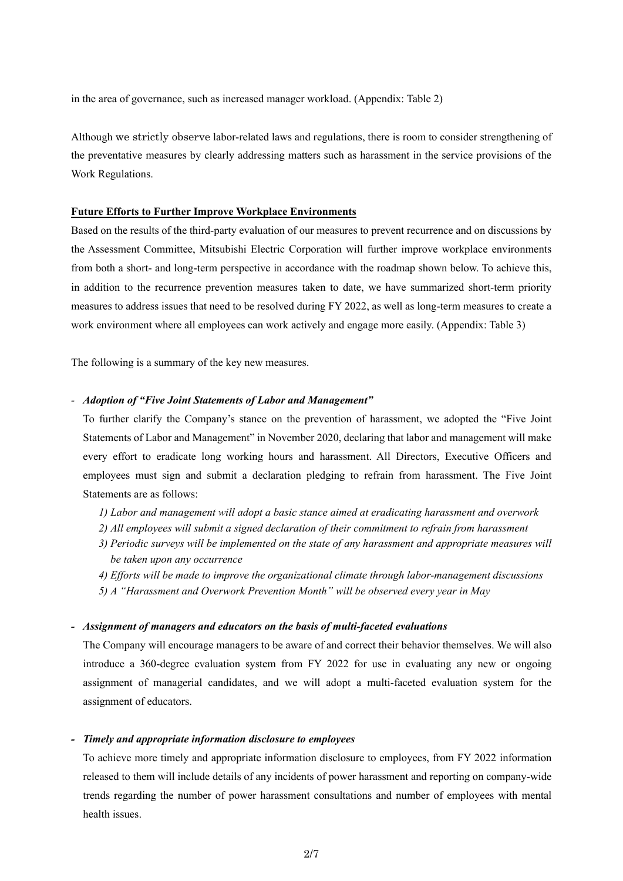in the area of governance, such as increased manager workload. (Appendix: Table 2)

Although we strictly observe labor-related laws and regulations, there is room to consider strengthening of the preventative measures by clearly addressing matters such as harassment in the service provisions of the Work Regulations.

## **Future Efforts to Further Improve Workplace Environments**

Based on the results of the third-party evaluation of our measures to prevent recurrence and on discussions by the Assessment Committee, Mitsubishi Electric Corporation will further improve workplace environments from both a short- and long-term perspective in accordance with the roadmap shown below. To achieve this, in addition to the recurrence prevention measures taken to date, we have summarized short-term priority measures to address issues that need to be resolved during FY 2022, as well as long-term measures to create a work environment where all employees can work actively and engage more easily. (Appendix: Table 3)

The following is a summary of the key new measures.

#### *- Adoption of "Five Joint Statements of Labor and Management"*

To further clarify the Company's stance on the prevention of harassment, we adopted the "Five Joint Statements of Labor and Management" in November 2020, declaring that labor and management will make every effort to eradicate long working hours and harassment. All Directors, Executive Officers and employees must sign and submit a declaration pledging to refrain from harassment. The Five Joint Statements are as follows:

- *1) Labor and management will adopt a basic stance aimed at eradicating harassment and overwork*
- *2) All employees will submit a signed declaration of their commitment to refrain from harassment*
- *3) Periodic surveys will be implemented on the state of any harassment and appropriate measures will be taken upon any occurrence*
- *4) Efforts will be made to improve the organizational climate through labor-management discussions*
- *5) A "Harassment and Overwork Prevention Month" will be observed every year in May*

#### *- Assignment of managers and educators on the basis of multi-faceted evaluations*

The Company will encourage managers to be aware of and correct their behavior themselves. We will also introduce a 360-degree evaluation system from FY 2022 for use in evaluating any new or ongoing assignment of managerial candidates, and we will adopt a multi-faceted evaluation system for the assignment of educators.

## *- Timely and appropriate information disclosure to employees*

To achieve more timely and appropriate information disclosure to employees, from FY 2022 information released to them will include details of any incidents of power harassment and reporting on company-wide trends regarding the number of power harassment consultations and number of employees with mental health issues.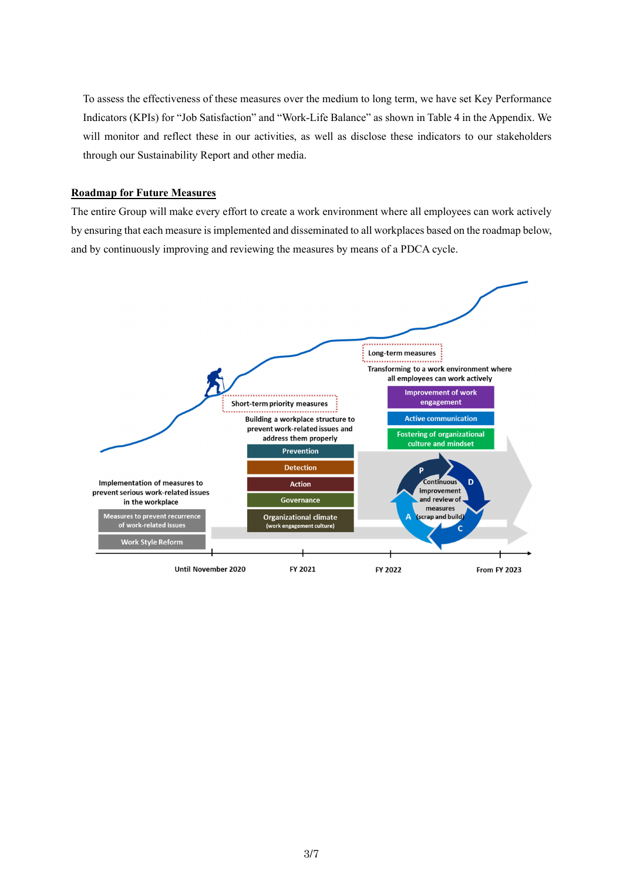To assess the effectiveness of these measures over the medium to long term, we have set Key Performance Indicators (KPIs) for "Job Satisfaction" and "Work-Life Balance" as shown in Table 4 in the Appendix. We will monitor and reflect these in our activities, as well as disclose these indicators to our stakeholders through our Sustainability Report and other media.

## **Roadmap for Future Measures**

The entire Group will make every effort to create a work environment where all employees can work actively by ensuring that each measure is implemented and disseminated to all workplaces based on the roadmap below, and by continuously improving and reviewing the measures by means of a PDCA cycle.

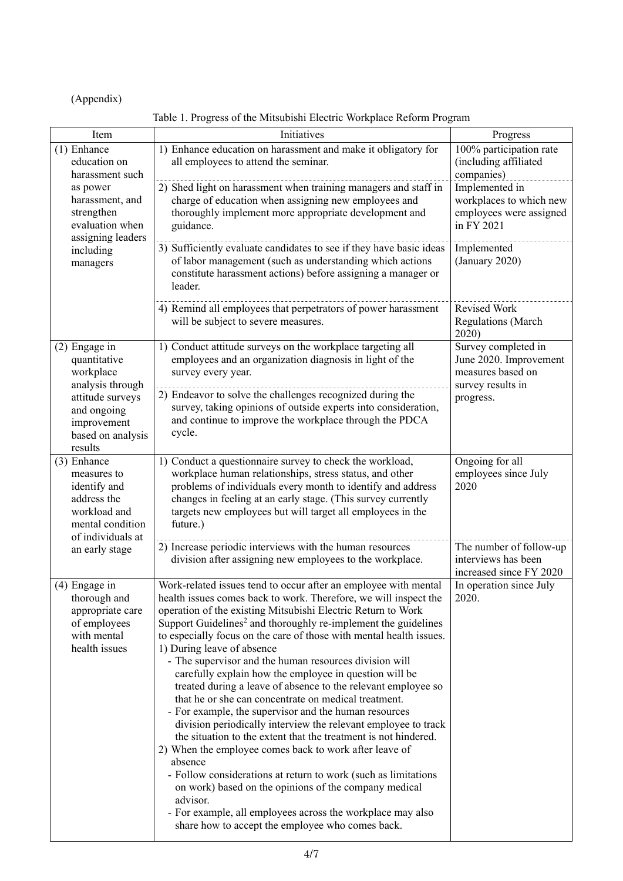(Appendix)

Table 1. Progress of the Mitsubishi Electric Workplace Reform Program

| Item                                                                                                                                             | Initiatives                                                                                                                                                                                                                                                                                                                                                                                                                                                                                                                                                                                                                                                                                                                                                                                                                                                                                                                                                                                                                                                                                                                                                     | Progress                                                                                             |
|--------------------------------------------------------------------------------------------------------------------------------------------------|-----------------------------------------------------------------------------------------------------------------------------------------------------------------------------------------------------------------------------------------------------------------------------------------------------------------------------------------------------------------------------------------------------------------------------------------------------------------------------------------------------------------------------------------------------------------------------------------------------------------------------------------------------------------------------------------------------------------------------------------------------------------------------------------------------------------------------------------------------------------------------------------------------------------------------------------------------------------------------------------------------------------------------------------------------------------------------------------------------------------------------------------------------------------|------------------------------------------------------------------------------------------------------|
| (1) Enhance<br>education on<br>harassment such                                                                                                   | 1) Enhance education on harassment and make it obligatory for<br>all employees to attend the seminar.                                                                                                                                                                                                                                                                                                                                                                                                                                                                                                                                                                                                                                                                                                                                                                                                                                                                                                                                                                                                                                                           | 100% participation rate<br>(including affiliated<br>companies)                                       |
| as power<br>harassment, and<br>strengthen<br>evaluation when<br>assigning leaders                                                                | 2) Shed light on harassment when training managers and staff in<br>charge of education when assigning new employees and<br>thoroughly implement more appropriate development and<br>guidance.                                                                                                                                                                                                                                                                                                                                                                                                                                                                                                                                                                                                                                                                                                                                                                                                                                                                                                                                                                   | Implemented in<br>workplaces to which new<br>employees were assigned<br>in FY 2021                   |
| including<br>managers                                                                                                                            | 3) Sufficiently evaluate candidates to see if they have basic ideas<br>of labor management (such as understanding which actions<br>constitute harassment actions) before assigning a manager or<br>leader.                                                                                                                                                                                                                                                                                                                                                                                                                                                                                                                                                                                                                                                                                                                                                                                                                                                                                                                                                      | Implemented<br>(January 2020)                                                                        |
|                                                                                                                                                  | 4) Remind all employees that perpetrators of power harassment<br>will be subject to severe measures.                                                                                                                                                                                                                                                                                                                                                                                                                                                                                                                                                                                                                                                                                                                                                                                                                                                                                                                                                                                                                                                            | Revised Work<br>Regulations (March<br>2020)                                                          |
| (2) Engage in<br>quantitative<br>workplace<br>analysis through<br>attitude surveys<br>and ongoing<br>improvement<br>based on analysis<br>results | 1) Conduct attitude surveys on the workplace targeting all<br>employees and an organization diagnosis in light of the<br>survey every year.<br>2) Endeavor to solve the challenges recognized during the<br>survey, taking opinions of outside experts into consideration,<br>and continue to improve the workplace through the PDCA<br>cycle.                                                                                                                                                                                                                                                                                                                                                                                                                                                                                                                                                                                                                                                                                                                                                                                                                  | Survey completed in<br>June 2020. Improvement<br>measures based on<br>survey results in<br>progress. |
| (3) Enhance<br>measures to<br>identify and<br>address the<br>workload and<br>mental condition<br>of individuals at                               | 1) Conduct a questionnaire survey to check the workload,<br>workplace human relationships, stress status, and other<br>problems of individuals every month to identify and address<br>changes in feeling at an early stage. (This survey currently<br>targets new employees but will target all employees in the<br>future.)                                                                                                                                                                                                                                                                                                                                                                                                                                                                                                                                                                                                                                                                                                                                                                                                                                    | Ongoing for all<br>employees since July<br>2020                                                      |
| an early stage                                                                                                                                   | 2) Increase periodic interviews with the human resources<br>division after assigning new employees to the workplace.                                                                                                                                                                                                                                                                                                                                                                                                                                                                                                                                                                                                                                                                                                                                                                                                                                                                                                                                                                                                                                            | The number of follow-up<br>interviews has been<br>increased since FY 2020                            |
| (4) Engage in<br>thorough and<br>appropriate care<br>of employees<br>with mental<br>health issues                                                | Work-related issues tend to occur after an employee with mental<br>health issues comes back to work. Therefore, we will inspect the<br>operation of the existing Mitsubishi Electric Return to Work<br>Support Guidelines <sup>2</sup> and thoroughly re-implement the guidelines<br>to especially focus on the care of those with mental health issues.<br>1) During leave of absence<br>- The supervisor and the human resources division will<br>carefully explain how the employee in question will be<br>treated during a leave of absence to the relevant employee so<br>that he or she can concentrate on medical treatment.<br>- For example, the supervisor and the human resources<br>division periodically interview the relevant employee to track<br>the situation to the extent that the treatment is not hindered.<br>2) When the employee comes back to work after leave of<br>absence<br>- Follow considerations at return to work (such as limitations<br>on work) based on the opinions of the company medical<br>advisor.<br>- For example, all employees across the workplace may also<br>share how to accept the employee who comes back. | In operation since July<br>2020.                                                                     |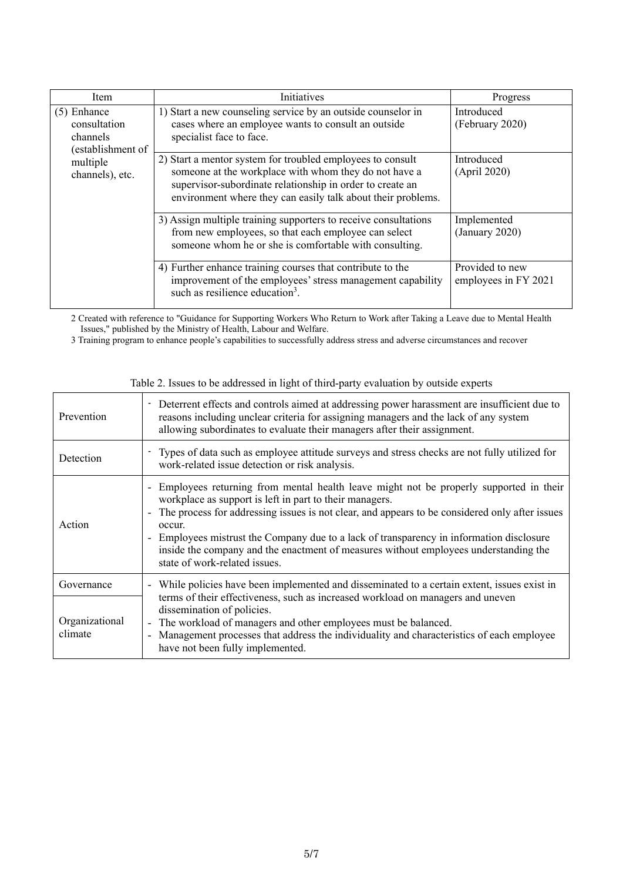| Item                                                                                          | <b>Initiatives</b>                                                                                                                                                                                                                               | Progress                                |
|-----------------------------------------------------------------------------------------------|--------------------------------------------------------------------------------------------------------------------------------------------------------------------------------------------------------------------------------------------------|-----------------------------------------|
| $(5)$ Enhance<br>consultation<br>channels<br>(establishment of<br>multiple<br>channels), etc. | 1) Start a new counseling service by an outside counselor in<br>cases where an employee wants to consult an outside<br>specialist face to face.                                                                                                  | Introduced<br>(February 2020)           |
|                                                                                               | 2) Start a mentor system for troubled employees to consult<br>someone at the workplace with whom they do not have a<br>supervisor-subordinate relationship in order to create an<br>environment where they can easily talk about their problems. | Introduced<br>(April 2020)              |
|                                                                                               | 3) Assign multiple training supporters to receive consultations<br>from new employees, so that each employee can select<br>someone whom he or she is comfortable with consulting.                                                                | Implemented<br>(January 2020)           |
|                                                                                               | 4) Further enhance training courses that contribute to the<br>improvement of the employees' stress management capability<br>such as resilience education <sup>3</sup> .                                                                          | Provided to new<br>employees in FY 2021 |

2 Created with reference to "Guidance for Supporting Workers Who Return to Work after Taking a Leave due to Mental Health Issues," published by the Ministry of Health, Labour and Welfare.

3 Training program to enhance people's capabilities to successfully address stress and adverse circumstances and recover

| Prevention                | - Deterrent effects and controls aimed at addressing power harassment are insufficient due to<br>reasons including unclear criteria for assigning managers and the lack of any system<br>allowing subordinates to evaluate their managers after their assignment.                                                                                                                                                                                                                     |
|---------------------------|---------------------------------------------------------------------------------------------------------------------------------------------------------------------------------------------------------------------------------------------------------------------------------------------------------------------------------------------------------------------------------------------------------------------------------------------------------------------------------------|
| Detection                 | - Types of data such as employee attitude surveys and stress checks are not fully utilized for<br>work-related issue detection or risk analysis.                                                                                                                                                                                                                                                                                                                                      |
| Action                    | - Employees returning from mental health leave might not be properly supported in their<br>workplace as support is left in part to their managers.<br>- The process for addressing issues is not clear, and appears to be considered only after issues<br>occur.<br>- Employees mistrust the Company due to a lack of transparency in information disclosure<br>inside the company and the enactment of measures without employees understanding the<br>state of work-related issues. |
| Governance                | - While policies have been implemented and disseminated to a certain extent, issues exist in<br>terms of their effectiveness, such as increased workload on managers and uneven<br>dissemination of policies.                                                                                                                                                                                                                                                                         |
| Organizational<br>climate | - The workload of managers and other employees must be balanced.<br>- Management processes that address the individuality and characteristics of each employee<br>have not been fully implemented.                                                                                                                                                                                                                                                                                    |

Table 2. Issues to be addressed in light of third-party evaluation by outside experts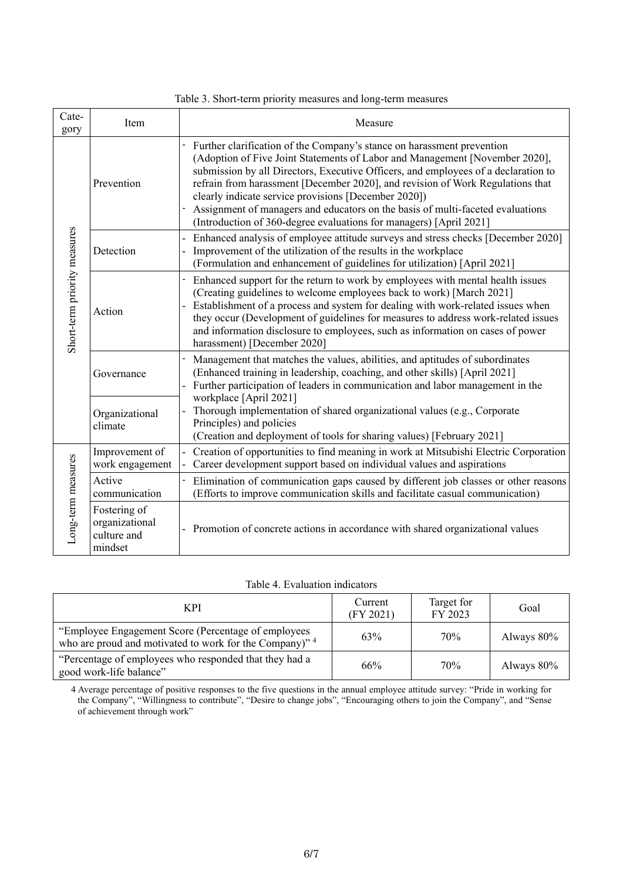| Table 3. Short-term priority measures and long-term measures |  |  |  |
|--------------------------------------------------------------|--|--|--|
|                                                              |  |  |  |

| Cate-<br>gory                | Item                                                     | Measure                                                                                                                                                                                                                                                                                                                                                                                                                                                                                                                                       |
|------------------------------|----------------------------------------------------------|-----------------------------------------------------------------------------------------------------------------------------------------------------------------------------------------------------------------------------------------------------------------------------------------------------------------------------------------------------------------------------------------------------------------------------------------------------------------------------------------------------------------------------------------------|
| Short-term priority measures | Prevention                                               | Further clarification of the Company's stance on harassment prevention<br>(Adoption of Five Joint Statements of Labor and Management [November 2020],<br>submission by all Directors, Executive Officers, and employees of a declaration to<br>refrain from harassment [December 2020], and revision of Work Regulations that<br>clearly indicate service provisions [December 2020])<br>Assignment of managers and educators on the basis of multi-faceted evaluations<br>(Introduction of 360-degree evaluations for managers) [April 2021] |
|                              | Detection                                                | - Enhanced analysis of employee attitude surveys and stress checks [December 2020]<br>Improvement of the utilization of the results in the workplace<br>(Formulation and enhancement of guidelines for utilization) [April 2021]                                                                                                                                                                                                                                                                                                              |
|                              | Action                                                   | - Enhanced support for the return to work by employees with mental health issues<br>(Creating guidelines to welcome employees back to work) [March 2021]<br>Establishment of a process and system for dealing with work-related issues when<br>they occur (Development of guidelines for measures to address work-related issues<br>and information disclosure to employees, such as information on cases of power<br>harassment) [December 2020]                                                                                             |
|                              | Governance                                               | Management that matches the values, abilities, and aptitudes of subordinates<br>(Enhanced training in leadership, coaching, and other skills) [April 2021]<br>- Further participation of leaders in communication and labor management in the<br>workplace [April 2021]                                                                                                                                                                                                                                                                       |
|                              | Organizational<br>climate                                | Thorough implementation of shared organizational values (e.g., Corporate<br>Principles) and policies<br>(Creation and deployment of tools for sharing values) [February 2021]                                                                                                                                                                                                                                                                                                                                                                 |
| Long-term measures           | Improvement of<br>work engagement                        | Creation of opportunities to find meaning in work at Mitsubishi Electric Corporation<br>Career development support based on individual values and aspirations                                                                                                                                                                                                                                                                                                                                                                                 |
|                              | Active<br>communication                                  | Elimination of communication gaps caused by different job classes or other reasons<br>(Efforts to improve communication skills and facilitate casual communication)                                                                                                                                                                                                                                                                                                                                                                           |
|                              | Fostering of<br>organizational<br>culture and<br>mindset | - Promotion of concrete actions in accordance with shared organizational values                                                                                                                                                                                                                                                                                                                                                                                                                                                               |

| <b>KPI</b>                                                                                                     | Current<br>(FY 2021) | Target for<br>FY 2023 | Goal          |
|----------------------------------------------------------------------------------------------------------------|----------------------|-----------------------|---------------|
| "Employee Engagement Score (Percentage of employees<br>who are proud and motivated to work for the Company)" 4 | 63%                  | 70%                   | Always $80\%$ |
| "Percentage of employees who responded that they had a<br>good work-life balance"                              | 66%                  | 70%                   | Always $80\%$ |

4 Average percentage of positive responses to the five questions in the annual employee attitude survey: "Pride in working for the Company", "Willingness to contribute", "Desire to change jobs", "Encouraging others to join the Company", and "Sense of achievement through work"